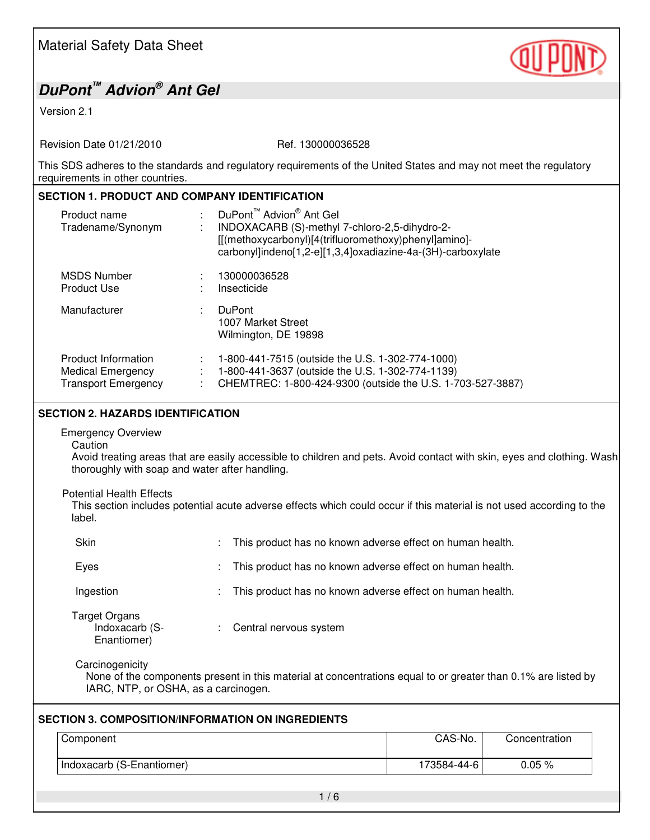# *DuPont™ Advion® Ant Gel*

Version 2.1

Revision Date 01/21/2010 Ref. 130000036528

This SDS adheres to the standards and regulatory requirements of the United States and may not meet the regulatory requirements in other countries.

## **SECTION 1. PRODUCT AND COMPANY IDENTIFICATION**

| Product name<br>Tradename/Synonym                                                    | ÷ | DuPont <sup>™</sup> Advion <sup>®</sup> Ant Gel<br>INDOXACARB (S)-methyl 7-chloro-2,5-dihydro-2-<br>[[(methoxycarbonyl)[4(trifluoromethoxy)phenyl]amino]-<br>carbonyl]indeno[1,2-e][1,3,4]oxadiazine-4a-(3H)-carboxylate |
|--------------------------------------------------------------------------------------|---|--------------------------------------------------------------------------------------------------------------------------------------------------------------------------------------------------------------------------|
| <b>MSDS Number</b><br><b>Product Use</b>                                             |   | 130000036528<br>Insecticide                                                                                                                                                                                              |
| Manufacturer                                                                         |   | <b>DuPont</b><br>1007 Market Street<br>Wilmington, DE 19898                                                                                                                                                              |
| <b>Product Information</b><br><b>Medical Emergency</b><br><b>Transport Emergency</b> |   | 1-800-441-7515 (outside the U.S. 1-302-774-1000)<br>1-800-441-3637 (outside the U.S. 1-302-774-1139)<br>CHEMTREC: 1-800-424-9300 (outside the U.S. 1-703-527-3887)                                                       |

### **SECTION 2. HAZARDS IDENTIFICATION**

Emergency Overview

**Caution** 

Avoid treating areas that are easily accessible to children and pets. Avoid contact with skin, eyes and clothing. Wash thoroughly with soap and water after handling.

### Potential Health Effects

This section includes potential acute adverse effects which could occur if this material is not used according to the label.

| Skin                                   | This product has no known adverse effect on human health. |
|----------------------------------------|-----------------------------------------------------------|
| Eyes                                   | This product has no known adverse effect on human health. |
| Ingestion                              | This product has no known adverse effect on human health. |
| <b>Target Organs</b><br>Indoxacarb (S- | Central nervous system                                    |

Enantiomer)

#### **Carcinogenicity**

None of the components present in this material at concentrations equal to or greater than 0.1% are listed by IARC, NTP, or OSHA, as a carcinogen.

## **SECTION 3. COMPOSITION/INFORMATION ON INGREDIENTS**

| Component                 | CAS-No.    | Concentration |
|---------------------------|------------|---------------|
| Indoxacarb (S-Enantiomer) | 73584-44-6 | $0.05\ \%$    |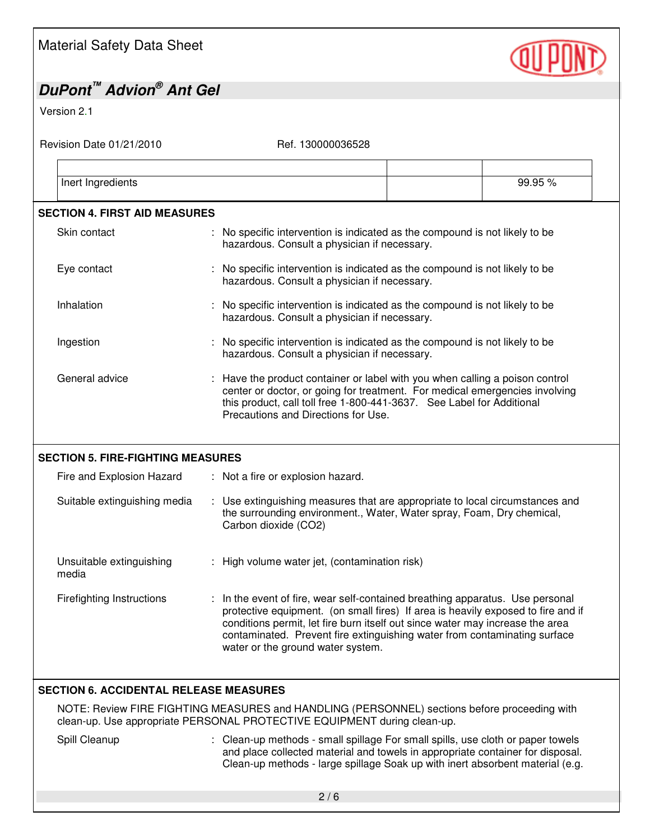# Material Safety Data Sheet

# *DuPont™ Advion® Ant Gel*

Version 2.1

| Revision Date 01/21/2010                      | Ref. 130000036528                                                                                                                                                                                                                                                                                                                                                  |                                                                                                                                                                 |         |  |
|-----------------------------------------------|--------------------------------------------------------------------------------------------------------------------------------------------------------------------------------------------------------------------------------------------------------------------------------------------------------------------------------------------------------------------|-----------------------------------------------------------------------------------------------------------------------------------------------------------------|---------|--|
| Inert Ingredients                             |                                                                                                                                                                                                                                                                                                                                                                    |                                                                                                                                                                 | 99.95 % |  |
| <b>SECTION 4. FIRST AID MEASURES</b>          |                                                                                                                                                                                                                                                                                                                                                                    |                                                                                                                                                                 |         |  |
| Skin contact                                  | : No specific intervention is indicated as the compound is not likely to be<br>hazardous. Consult a physician if necessary.                                                                                                                                                                                                                                        |                                                                                                                                                                 |         |  |
| Eye contact                                   | : No specific intervention is indicated as the compound is not likely to be<br>hazardous. Consult a physician if necessary.                                                                                                                                                                                                                                        |                                                                                                                                                                 |         |  |
| Inhalation                                    |                                                                                                                                                                                                                                                                                                                                                                    | : No specific intervention is indicated as the compound is not likely to be<br>hazardous. Consult a physician if necessary.                                     |         |  |
| Ingestion                                     |                                                                                                                                                                                                                                                                                                                                                                    | : No specific intervention is indicated as the compound is not likely to be<br>hazardous. Consult a physician if necessary.                                     |         |  |
| General advice                                | : Have the product container or label with you when calling a poison control<br>Precautions and Directions for Use.                                                                                                                                                                                                                                                | center or doctor, or going for treatment. For medical emergencies involving<br>this product, call toll free 1-800-441-3637. See Label for Additional            |         |  |
| <b>SECTION 5. FIRE-FIGHTING MEASURES</b>      |                                                                                                                                                                                                                                                                                                                                                                    |                                                                                                                                                                 |         |  |
| Fire and Explosion Hazard                     | : Not a fire or explosion hazard.                                                                                                                                                                                                                                                                                                                                  |                                                                                                                                                                 |         |  |
| Suitable extinguishing media                  | : Use extinguishing measures that are appropriate to local circumstances and<br>Carbon dioxide (CO2)                                                                                                                                                                                                                                                               | the surrounding environment., Water, Water spray, Foam, Dry chemical,                                                                                           |         |  |
| Unsuitable extinguishing<br>media             | : High volume water jet, (contamination risk)                                                                                                                                                                                                                                                                                                                      |                                                                                                                                                                 |         |  |
| <b>Firefighting Instructions</b>              | In the event of fire, wear self-contained breathing apparatus. Use personal<br>protective equipment. (on small fires) If area is heavily exposed to fire and if<br>conditions permit, let fire burn itself out since water may increase the area<br>contaminated. Prevent fire extinguishing water from contaminating surface<br>water or the ground water system. |                                                                                                                                                                 |         |  |
| <b>SECTION 6. ACCIDENTAL RELEASE MEASURES</b> |                                                                                                                                                                                                                                                                                                                                                                    |                                                                                                                                                                 |         |  |
|                                               | NOTE: Review FIRE FIGHTING MEASURES and HANDLING (PERSONNEL) sections before proceeding with<br>clean-up. Use appropriate PERSONAL PROTECTIVE EQUIPMENT during clean-up.                                                                                                                                                                                           |                                                                                                                                                                 |         |  |
| Spill Cleanup                                 | : Clean-up methods - small spillage For small spills, use cloth or paper towels                                                                                                                                                                                                                                                                                    | and place collected material and towels in appropriate container for disposal.<br>Clean-up methods - large spillage Soak up with inert absorbent material (e.g. |         |  |
|                                               |                                                                                                                                                                                                                                                                                                                                                                    |                                                                                                                                                                 |         |  |

**QUIPOND**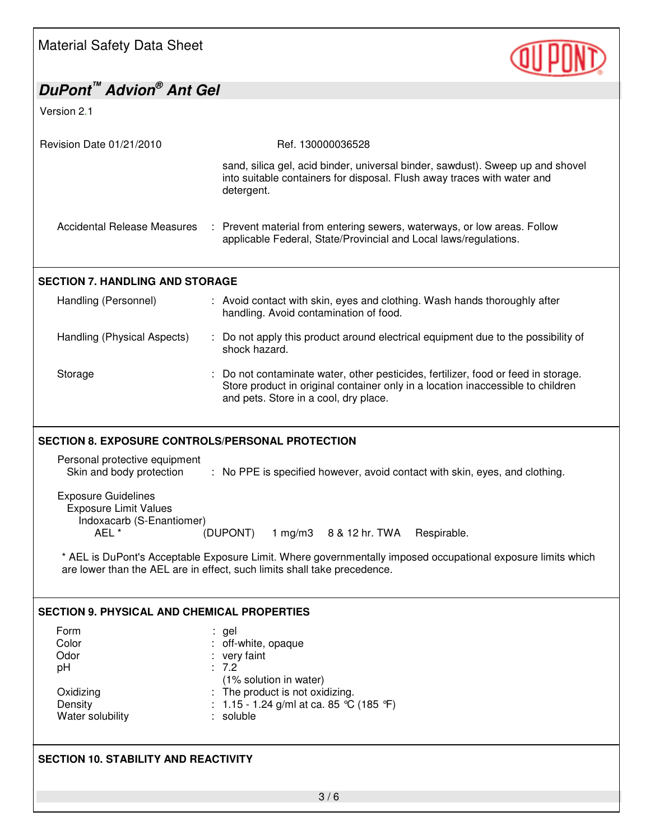| <b>Material Safety Data Sheet</b> |  |  |
|-----------------------------------|--|--|
|-----------------------------------|--|--|



| DuPont <sup>™</sup> Advion <sup>®</sup> Ant Gel                                                                                                                                          |                                                                                                                                                                                                              |  |  |
|------------------------------------------------------------------------------------------------------------------------------------------------------------------------------------------|--------------------------------------------------------------------------------------------------------------------------------------------------------------------------------------------------------------|--|--|
| Version 2.1                                                                                                                                                                              |                                                                                                                                                                                                              |  |  |
| Revision Date 01/21/2010                                                                                                                                                                 | Ref. 130000036528                                                                                                                                                                                            |  |  |
|                                                                                                                                                                                          | sand, silica gel, acid binder, universal binder, sawdust). Sweep up and shovel<br>into suitable containers for disposal. Flush away traces with water and<br>detergent.                                      |  |  |
| <b>Accidental Release Measures</b>                                                                                                                                                       | : Prevent material from entering sewers, waterways, or low areas. Follow<br>applicable Federal, State/Provincial and Local laws/regulations.                                                                 |  |  |
| <b>SECTION 7. HANDLING AND STORAGE</b>                                                                                                                                                   |                                                                                                                                                                                                              |  |  |
| Handling (Personnel)                                                                                                                                                                     | : Avoid contact with skin, eyes and clothing. Wash hands thoroughly after<br>handling. Avoid contamination of food.                                                                                          |  |  |
| Handling (Physical Aspects)                                                                                                                                                              | : Do not apply this product around electrical equipment due to the possibility of<br>shock hazard.                                                                                                           |  |  |
| Storage                                                                                                                                                                                  | Do not contaminate water, other pesticides, fertilizer, food or feed in storage.<br>Store product in original container only in a location inaccessible to children<br>and pets. Store in a cool, dry place. |  |  |
| <b>SECTION 8. EXPOSURE CONTROLS/PERSONAL PROTECTION</b>                                                                                                                                  |                                                                                                                                                                                                              |  |  |
| Personal protective equipment<br>Skin and body protection                                                                                                                                | : No PPE is specified however, avoid contact with skin, eyes, and clothing.                                                                                                                                  |  |  |
| <b>Exposure Guidelines</b><br><b>Exposure Limit Values</b><br>Indoxacarb (S-Enantiomer)<br>AEL *                                                                                         | (DUPONT)<br>1 mg/m3 8 & 12 hr. TWA Respirable.                                                                                                                                                               |  |  |
| * AEL is DuPont's Acceptable Exposure Limit. Where governmentally imposed occupational exposure limits which<br>are lower than the AEL are in effect, such limits shall take precedence. |                                                                                                                                                                                                              |  |  |
| <b>SECTION 9. PHYSICAL AND CHEMICAL PROPERTIES</b>                                                                                                                                       |                                                                                                                                                                                                              |  |  |
| Form<br>Color<br>Odor<br>pH<br>Oxidizing<br>Density<br>Water solubility                                                                                                                  | : gel<br>: off-white, opaque<br>very faint<br>7.2<br>(1% solution in water)<br>The product is not oxidizing.<br>1.15 - 1.24 g/ml at ca. 85 °C (185 °F)<br>: soluble                                          |  |  |
| <b>SECTION 10. STABILITY AND REACTIVITY</b>                                                                                                                                              |                                                                                                                                                                                                              |  |  |
|                                                                                                                                                                                          | 3/6                                                                                                                                                                                                          |  |  |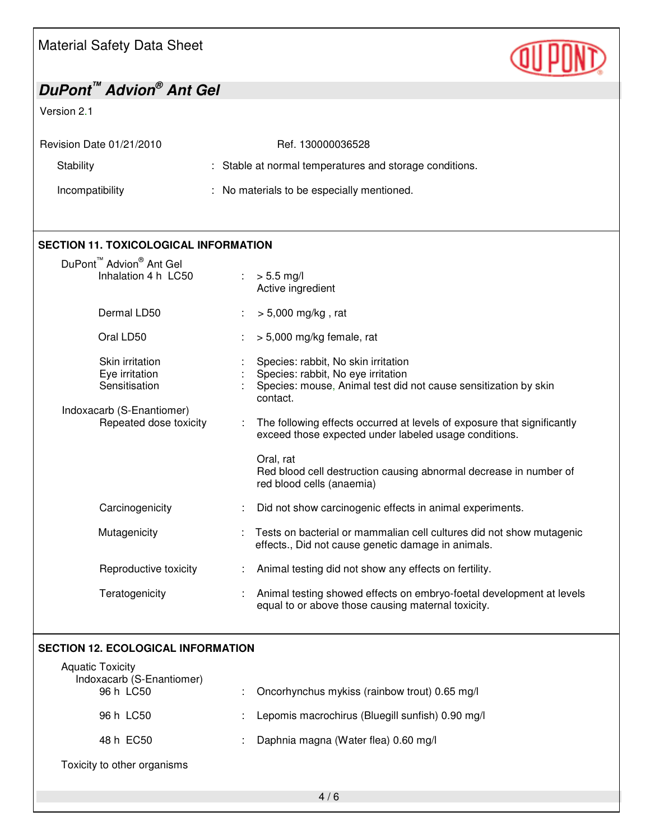# *DuPont™ Advion® Ant Gel*

Version 2.1

| Revision Date 01/21/2010 | Ref. 130000036528                                       |
|--------------------------|---------------------------------------------------------|
| Stability                | : Stable at normal temperatures and storage conditions. |
| Incompatibility          | : No materials to be especially mentioned.              |

**QUIPOND** 

### **SECTION 11. TOXICOLOGICAL INFORMATION**

| DuPont <sup>™</sup> Advion <sup>®</sup> Ant Gel    | Inhalation 4 h LC50         | $> 5.5$ mg/l<br>Active ingredient                                                                                                                        |
|----------------------------------------------------|-----------------------------|----------------------------------------------------------------------------------------------------------------------------------------------------------|
| Dermal LD50                                        |                             | $> 5,000$ mg/kg, rat                                                                                                                                     |
| Oral LD50                                          |                             | > 5,000 mg/kg female, rat                                                                                                                                |
| Skin irritation<br>Eye irritation<br>Sensitisation |                             | Species: rabbit, No skin irritation<br>Species: rabbit, No eye irritation<br>Species: mouse, Animal test did not cause sensitization by skin<br>contact. |
| Indoxacarb (S-Enantiomer)                          | Repeated dose toxicity<br>÷ | The following effects occurred at levels of exposure that significantly<br>exceed those expected under labeled usage conditions.                         |
|                                                    |                             | Oral, rat<br>Red blood cell destruction causing abnormal decrease in number of<br>red blood cells (anaemia)                                              |
| Carcinogenicity                                    |                             | Did not show carcinogenic effects in animal experiments.                                                                                                 |
| Mutagenicity                                       |                             | Tests on bacterial or mammalian cell cultures did not show mutagenic<br>effects., Did not cause genetic damage in animals.                               |
|                                                    | Reproductive toxicity       | Animal testing did not show any effects on fertility.                                                                                                    |
|                                                    | Teratogenicity              | Animal testing showed effects on embryo-foetal development at levels                                                                                     |

## **SECTION 12. ECOLOGICAL INFORMATION**

| <b>Aquatic Toxicity</b><br>Indoxacarb (S-Enantiomer) |                                                  |
|------------------------------------------------------|--------------------------------------------------|
| 96 h LC50                                            | Oncorhynchus mykiss (rainbow trout) 0.65 mg/l    |
| 96 h LC50                                            | Lepomis macrochirus (Bluegill sunfish) 0.90 mg/l |
| 48 h EC50                                            | Daphnia magna (Water flea) 0.60 mg/l             |
| Toxicity to other organisms                          |                                                  |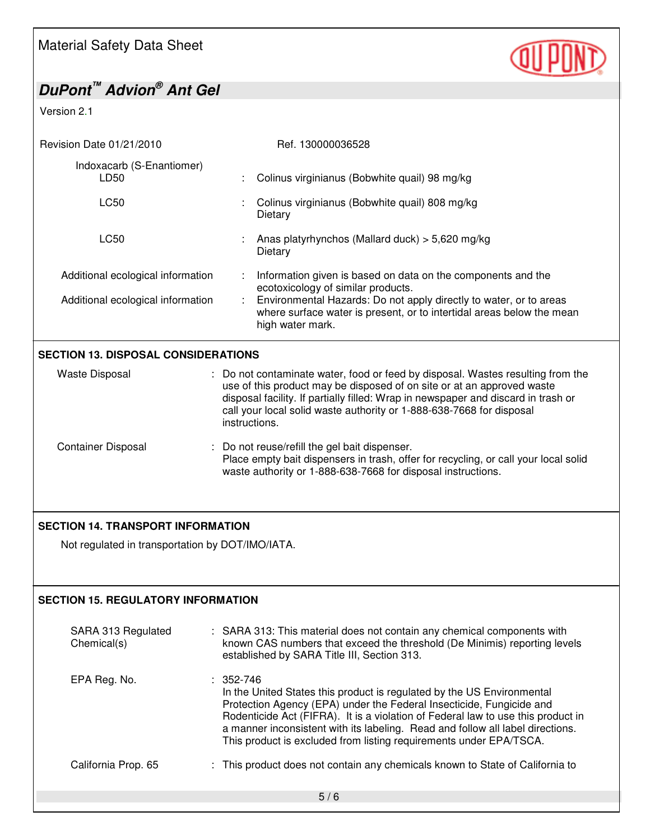| <b>Material Safety Data Sheet</b>                                                                                                         |                                                                                                                                                                                                                                                                                                                                                                                                             |  |  |
|-------------------------------------------------------------------------------------------------------------------------------------------|-------------------------------------------------------------------------------------------------------------------------------------------------------------------------------------------------------------------------------------------------------------------------------------------------------------------------------------------------------------------------------------------------------------|--|--|
| <b>DuPont™ Advion® Ant Gel</b>                                                                                                            |                                                                                                                                                                                                                                                                                                                                                                                                             |  |  |
| Version 2.1                                                                                                                               |                                                                                                                                                                                                                                                                                                                                                                                                             |  |  |
| Revision Date 01/21/2010                                                                                                                  | Ref. 130000036528                                                                                                                                                                                                                                                                                                                                                                                           |  |  |
| Indoxacarb (S-Enantiomer)<br>LD <sub>50</sub>                                                                                             | Colinus virginianus (Bobwhite quail) 98 mg/kg                                                                                                                                                                                                                                                                                                                                                               |  |  |
| <b>LC50</b>                                                                                                                               | Colinus virginianus (Bobwhite quail) 808 mg/kg<br>Dietary                                                                                                                                                                                                                                                                                                                                                   |  |  |
| <b>LC50</b>                                                                                                                               | Anas platyrhynchos (Mallard duck) > 5,620 mg/kg<br>Dietary                                                                                                                                                                                                                                                                                                                                                  |  |  |
| Additional ecological information                                                                                                         | Information given is based on data on the components and the<br>ecotoxicology of similar products.                                                                                                                                                                                                                                                                                                          |  |  |
| Additional ecological information                                                                                                         | Environmental Hazards: Do not apply directly to water, or to areas<br>t.<br>where surface water is present, or to intertidal areas below the mean<br>high water mark.                                                                                                                                                                                                                                       |  |  |
| <b>SECTION 13. DISPOSAL CONSIDERATIONS</b>                                                                                                |                                                                                                                                                                                                                                                                                                                                                                                                             |  |  |
| <b>Waste Disposal</b>                                                                                                                     | Do not contaminate water, food or feed by disposal. Wastes resulting from the<br>use of this product may be disposed of on site or at an approved waste<br>disposal facility. If partially filled: Wrap in newspaper and discard in trash or<br>call your local solid waste authority or 1-888-638-7668 for disposal<br>instructions.                                                                       |  |  |
| <b>Container Disposal</b>                                                                                                                 | Do not reuse/refill the gel bait dispenser.<br>Place empty bait dispensers in trash, offer for recycling, or call your local solid<br>waste authority or 1-888-638-7668 for disposal instructions.                                                                                                                                                                                                          |  |  |
| <b>SECTION 14. TRANSPORT INFORMATION</b><br>Not regulated in transportation by DOT/IMO/IATA.<br><b>SECTION 15. REGULATORY INFORMATION</b> |                                                                                                                                                                                                                                                                                                                                                                                                             |  |  |
| SARA 313 Regulated<br>Chemical(s)                                                                                                         | : SARA 313: This material does not contain any chemical components with<br>known CAS numbers that exceed the threshold (De Minimis) reporting levels<br>established by SARA Title III, Section 313.                                                                                                                                                                                                         |  |  |
| EPA Reg. No.                                                                                                                              | $: 352 - 746$<br>In the United States this product is regulated by the US Environmental<br>Protection Agency (EPA) under the Federal Insecticide, Fungicide and<br>Rodenticide Act (FIFRA). It is a violation of Federal law to use this product in<br>a manner inconsistent with its labeling. Read and follow all label directions.<br>This product is excluded from listing requirements under EPA/TSCA. |  |  |
| California Prop. 65                                                                                                                       | This product does not contain any chemicals known to State of California to                                                                                                                                                                                                                                                                                                                                 |  |  |
|                                                                                                                                           | 5/6                                                                                                                                                                                                                                                                                                                                                                                                         |  |  |